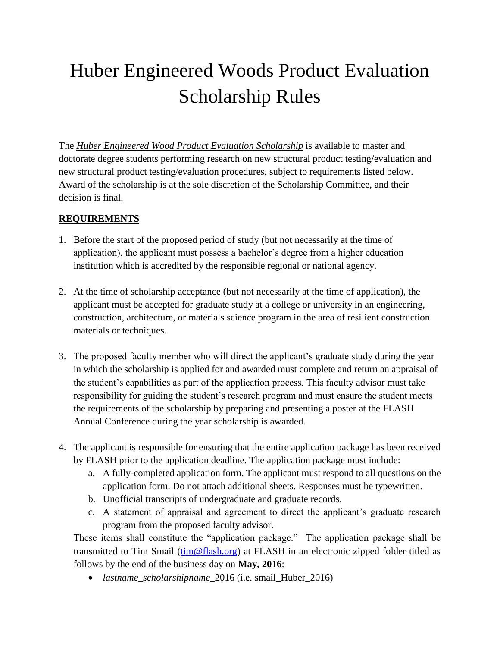# Huber Engineered Woods Product Evaluation Scholarship Rules

The *Huber Engineered Wood Product Evaluation Scholarship* is available to master and doctorate degree students performing research on new structural product testing/evaluation and new structural product testing/evaluation procedures, subject to requirements listed below. Award of the scholarship is at the sole discretion of the Scholarship Committee, and their decision is final.

### **REQUIREMENTS**

- 1. Before the start of the proposed period of study (but not necessarily at the time of application), the applicant must possess a bachelor's degree from a higher education institution which is accredited by the responsible regional or national agency.
- 2. At the time of scholarship acceptance (but not necessarily at the time of application), the applicant must be accepted for graduate study at a college or university in an engineering, construction, architecture, or materials science program in the area of resilient construction materials or techniques.
- 3. The proposed faculty member who will direct the applicant's graduate study during the year in which the scholarship is applied for and awarded must complete and return an appraisal of the student's capabilities as part of the application process. This faculty advisor must take responsibility for guiding the student's research program and must ensure the student meets the requirements of the scholarship by preparing and presenting a poster at the FLASH Annual Conference during the year scholarship is awarded.
- 4. The applicant is responsible for ensuring that the entire application package has been received by FLASH prior to the application deadline. The application package must include:
	- a. A fully-completed application form. The applicant must respond to all questions on the application form. Do not attach additional sheets. Responses must be typewritten.
	- b. Unofficial transcripts of undergraduate and graduate records.
	- c. A statement of appraisal and agreement to direct the applicant's graduate research program from the proposed faculty advisor.

These items shall constitute the "application package." The application package shall be transmitted to Tim Smail [\(tim@flash.org\)](mailto:tim@flash.org) at FLASH in an electronic zipped folder titled as follows by the end of the business day on **May, 2016**:

*lastname*\_*scholarshipname*\_2016 (i.e. smail\_Huber\_2016)